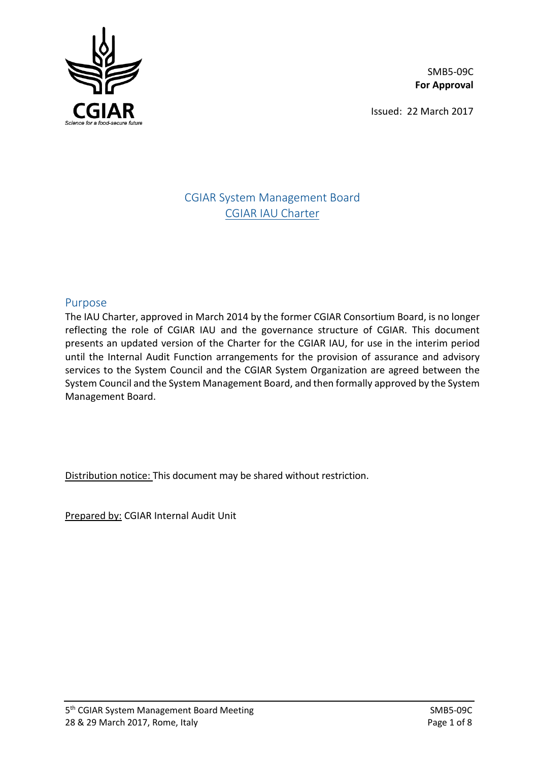

SMB5-09C **For Approval**

Issued: 22 March 2017

# CGIAR System Management Board CGIAR IAU Charter

### Purpose

The IAU Charter, approved in March 2014 by the former CGIAR Consortium Board, is no longer reflecting the role of CGIAR IAU and the governance structure of CGIAR. This document presents an updated version of the Charter for the CGIAR IAU, for use in the interim period until the Internal Audit Function arrangements for the provision of assurance and advisory services to the System Council and the CGIAR System Organization are agreed between the System Council and the System Management Board, and then formally approved by the System Management Board.

Distribution notice: This document may be shared without restriction.

Prepared by: CGIAR Internal Audit Unit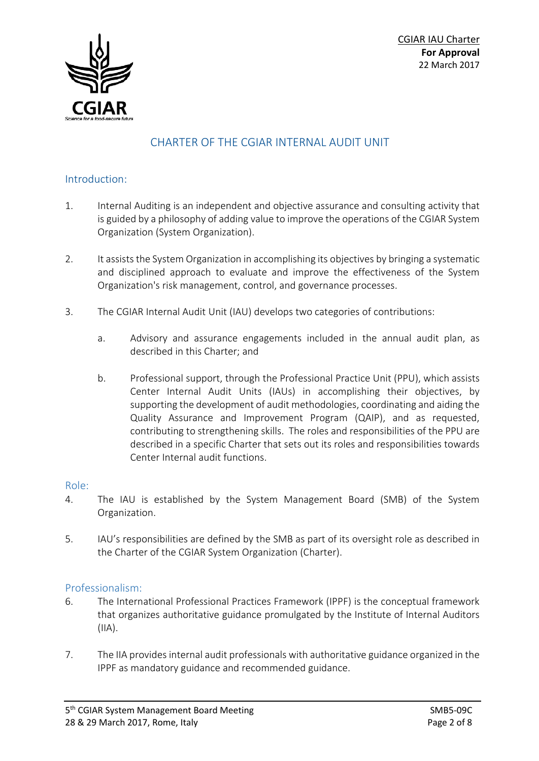

# CHARTER OF THE CGIAR INTERNAL AUDIT UNIT

#### Introduction:

- 1. Internal Auditing is an independent and objective assurance and consulting activity that is guided by a philosophy of adding value to improve the operations of the CGIAR System Organization (System Organization).
- 2. It assists the System Organization in accomplishing its objectives by bringing a systematic and disciplined approach to evaluate and improve the effectiveness of the System Organization's risk management, control, and governance processes.
- 3. The CGIAR Internal Audit Unit (IAU) develops two categories of contributions:
	- a. Advisory and assurance engagements included in the annual audit plan, as described in this Charter; and
	- b. Professional support, through the Professional Practice Unit (PPU), which assists Center Internal Audit Units (IAUs) in accomplishing their objectives, by supporting the development of audit methodologies, coordinating and aiding the Quality Assurance and Improvement Program (QAIP), and as requested, contributing to strengthening skills. The roles and responsibilities of the PPU are described in a specific Charter that sets out its roles and responsibilities towards Center Internal audit functions.

#### Role:

- 4. The IAU is established by the System Management Board (SMB) of the System Organization.
- 5. IAU's responsibilities are defined by the SMB as part of its oversight role as described in the Charter of the CGIAR System Organization (Charter).

### Professionalism:

- 6. The International Professional Practices Framework (IPPF) is the conceptual framework that organizes authoritative guidance promulgated by the Institute of Internal Auditors (IIA).
- 7. The IIA provides internal audit professionals with authoritative guidance organized in the IPPF as mandatory guidance and recommended guidance.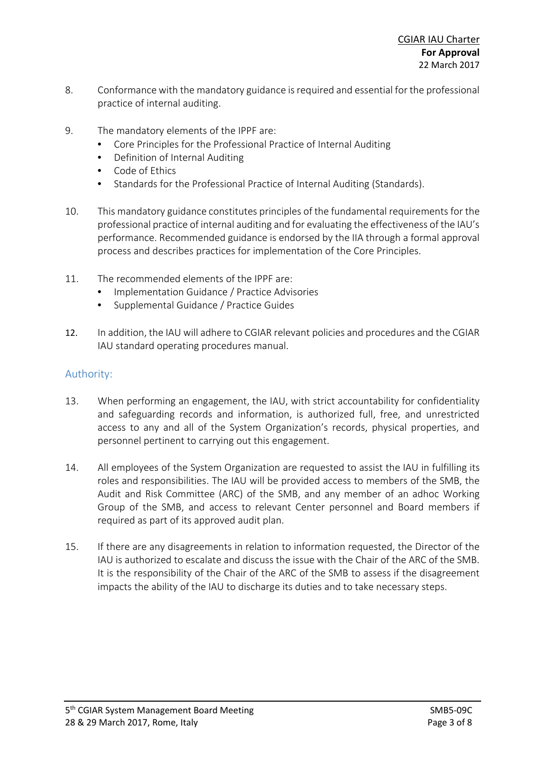- 8. Conformance with the mandatory guidance is required and essential for the professional practice of internal auditing.
- 9. The mandatory elements of the IPPF are:
	- Core Principles for the Professional Practice of Internal Auditing
	- Definition of Internal Auditing
	- Code of Ethics
	- Standards for the Professional Practice of Internal Auditing (Standards).
- 10. This mandatory guidance constitutes principles of the fundamental requirements for the professional practice of internal auditing and for evaluating the effectiveness of the IAU's performance. Recommended guidance is endorsed by the IIA through a formal approval process and describes practices for implementation of the Core Principles.
- 11. The recommended elements of the IPPF are:
	- Implementation Guidance / Practice Advisories
	- Supplemental Guidance / Practice Guides
- 12. In addition, the IAU will adhere to CGIAR relevant policies and procedures and the CGIAR IAU standard operating procedures manual.

### Authority:

- 13. When performing an engagement, the IAU, with strict accountability for confidentiality and safeguarding records and information, is authorized full, free, and unrestricted access to any and all of the System Organization's records, physical properties, and personnel pertinent to carrying out this engagement.
- 14. All employees of the System Organization are requested to assist the IAU in fulfilling its roles and responsibilities. The IAU will be provided access to members of the SMB, the Audit and Risk Committee (ARC) of the SMB, and any member of an adhoc Working Group of the SMB, and access to relevant Center personnel and Board members if required as part of its approved audit plan.
- 15. If there are any disagreements in relation to information requested, the Director of the IAU is authorized to escalate and discuss the issue with the Chair of the ARC of the SMB. It is the responsibility of the Chair of the ARC of the SMB to assess if the disagreement impacts the ability of the IAU to discharge its duties and to take necessary steps.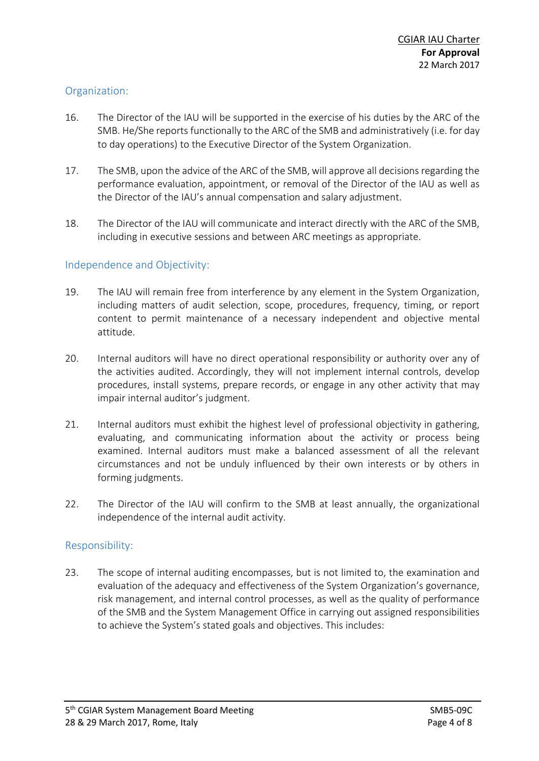## Organization:

- 16. The Director of the IAU will be supported in the exercise of his duties by the ARC of the SMB. He/She reports functionally to the ARC of the SMB and administratively (i.e. for day to day operations) to the Executive Director of the System Organization.
- 17. The SMB, upon the advice of the ARC of the SMB, will approve all decisions regarding the performance evaluation, appointment, or removal of the Director of the IAU as well as the Director of the IAU's annual compensation and salary adjustment.
- 18. The Director of the IAU will communicate and interact directly with the ARC of the SMB, including in executive sessions and between ARC meetings as appropriate.

### Independence and Objectivity:

- 19. The IAU will remain free from interference by any element in the System Organization, including matters of audit selection, scope, procedures, frequency, timing, or report content to permit maintenance of a necessary independent and objective mental attitude.
- 20. Internal auditors will have no direct operational responsibility or authority over any of the activities audited. Accordingly, they will not implement internal controls, develop procedures, install systems, prepare records, or engage in any other activity that may impair internal auditor's judgment.
- 21. Internal auditors must exhibit the highest level of professional objectivity in gathering, evaluating, and communicating information about the activity or process being examined. Internal auditors must make a balanced assessment of all the relevant circumstances and not be unduly influenced by their own interests or by others in forming judgments.
- 22. The Director of the IAU will confirm to the SMB at least annually, the organizational independence of the internal audit activity.

### Responsibility:

23. The scope of internal auditing encompasses, but is not limited to, the examination and evaluation of the adequacy and effectiveness of the System Organization's governance, risk management, and internal control processes, as well as the quality of performance of the SMB and the System Management Office in carrying out assigned responsibilities to achieve the System's stated goals and objectives. This includes: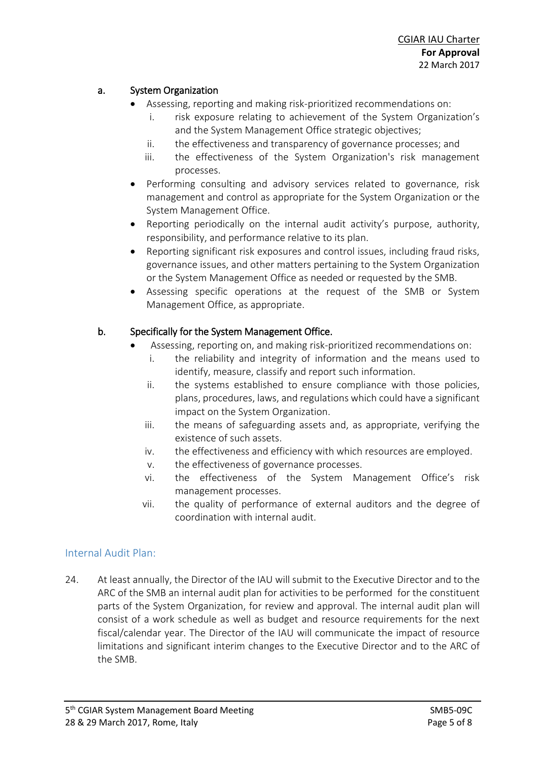## a. System Organization

- Assessing, reporting and making risk-prioritized recommendations on:
	- i. risk exposure relating to achievement of the System Organization's and the System Management Office strategic objectives;
	- ii. the effectiveness and transparency of governance processes; and
	- iii. the effectiveness of the System Organization's risk management processes.
- Performing consulting and advisory services related to governance, risk management and control as appropriate for the System Organization or the System Management Office.
- Reporting periodically on the internal audit activity's purpose, authority, responsibility, and performance relative to its plan.
- Reporting significant risk exposures and control issues, including fraud risks, governance issues, and other matters pertaining to the System Organization or the System Management Office as needed or requested by the SMB.
- Assessing specific operations at the request of the SMB or System Management Office, as appropriate.

## b. Specifically for the System Management Office.

- Assessing, reporting on, and making risk-prioritized recommendations on:
	- i. the reliability and integrity of information and the means used to identify, measure, classify and report such information.
	- ii. the systems established to ensure compliance with those policies, plans, procedures, laws, and regulations which could have a significant impact on the System Organization.
	- iii. the means of safeguarding assets and, as appropriate, verifying the existence of such assets.
	- iv. the effectiveness and efficiency with which resources are employed.
	- v. the effectiveness of governance processes.
	- vi. the effectiveness of the System Management Office's risk management processes.
	- vii. the quality of performance of external auditors and the degree of coordination with internal audit.

### Internal Audit Plan:

24. At least annually, the Director of the IAU will submit to the Executive Director and to the ARC of the SMB an internal audit plan for activities to be performed for the constituent parts of the System Organization, for review and approval. The internal audit plan will consist of a work schedule as well as budget and resource requirements for the next fiscal/calendar year. The Director of the IAU will communicate the impact of resource limitations and significant interim changes to the Executive Director and to the ARC of the SMB.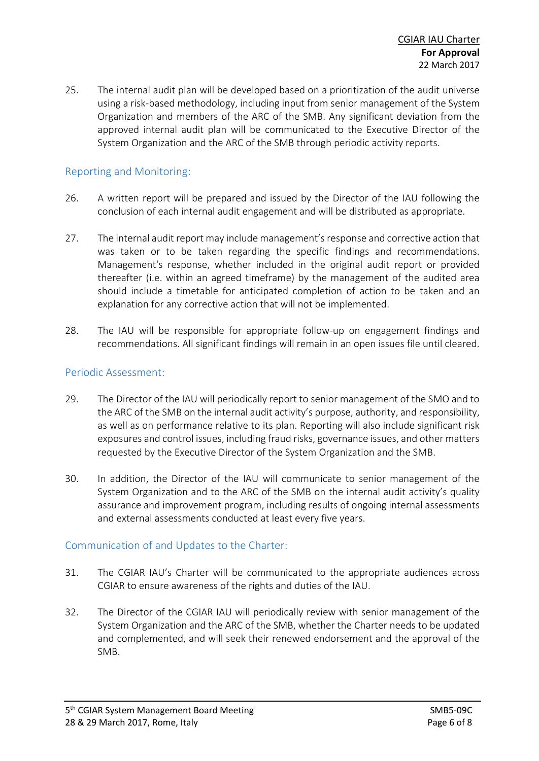25. The internal audit plan will be developed based on a prioritization of the audit universe using a risk-based methodology, including input from senior management of the System Organization and members of the ARC of the SMB. Any significant deviation from the approved internal audit plan will be communicated to the Executive Director of the System Organization and the ARC of the SMB through periodic activity reports.

### Reporting and Monitoring:

- 26. A written report will be prepared and issued by the Director of the IAU following the conclusion of each internal audit engagement and will be distributed as appropriate.
- 27. The internal audit report may include management's response and corrective action that was taken or to be taken regarding the specific findings and recommendations. Management's response, whether included in the original audit report or provided thereafter (i.e. within an agreed timeframe) by the management of the audited area should include a timetable for anticipated completion of action to be taken and an explanation for any corrective action that will not be implemented.
- 28. The IAU will be responsible for appropriate follow-up on engagement findings and recommendations. All significant findings will remain in an open issues file until cleared.

#### Periodic Assessment:

- 29. The Director of the IAU will periodically report to senior management of the SMO and to the ARC of the SMB on the internal audit activity's purpose, authority, and responsibility, as well as on performance relative to its plan. Reporting will also include significant risk exposures and control issues, including fraud risks, governance issues, and other matters requested by the Executive Director of the System Organization and the SMB.
- 30. In addition, the Director of the IAU will communicate to senior management of the System Organization and to the ARC of the SMB on the internal audit activity's quality assurance and improvement program, including results of ongoing internal assessments and external assessments conducted at least every five years.

#### Communication of and Updates to the Charter:

- 31. The CGIAR IAU's Charter will be communicated to the appropriate audiences across CGIAR to ensure awareness of the rights and duties of the IAU.
- 32. The Director of the CGIAR IAU will periodically review with senior management of the System Organization and the ARC of the SMB, whether the Charter needs to be updated and complemented, and will seek their renewed endorsement and the approval of the SMB.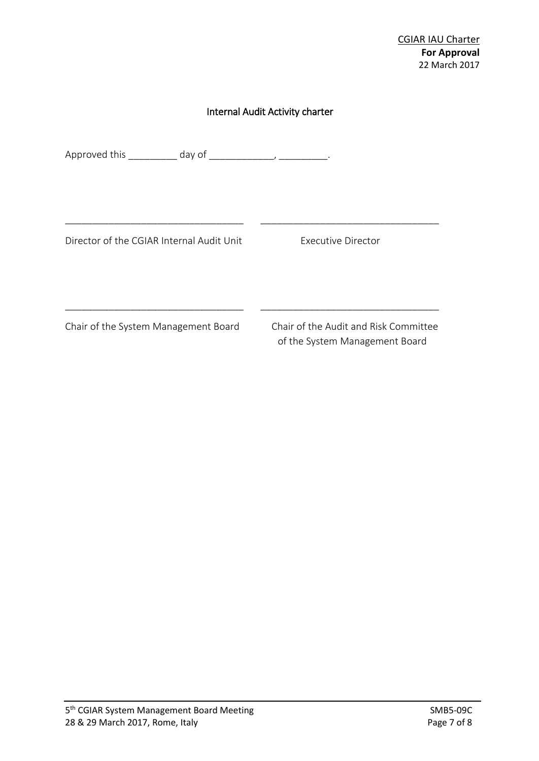#### Internal Audit Activity charter

\_\_\_\_\_\_\_\_\_\_\_\_\_\_\_\_\_\_\_\_\_\_\_\_\_\_\_\_\_\_\_\_\_ \_\_\_\_\_\_\_\_\_\_\_\_\_\_\_\_\_\_\_\_\_\_\_\_\_\_\_\_\_\_\_\_\_

\_\_\_\_\_\_\_\_\_\_\_\_\_\_\_\_\_\_\_\_\_\_\_\_\_\_\_\_\_\_\_\_\_ \_\_\_\_\_\_\_\_\_\_\_\_\_\_\_\_\_\_\_\_\_\_\_\_\_\_\_\_\_\_\_\_\_

Approved this \_\_\_\_\_\_\_\_ day of \_\_\_\_\_\_\_\_\_\_, \_\_\_\_\_\_\_\_.

Director of the CGIAR Internal Audit Unit Executive Director

Chair of the System Management Board Chair of the Audit and Risk Committee

of the System Management Board